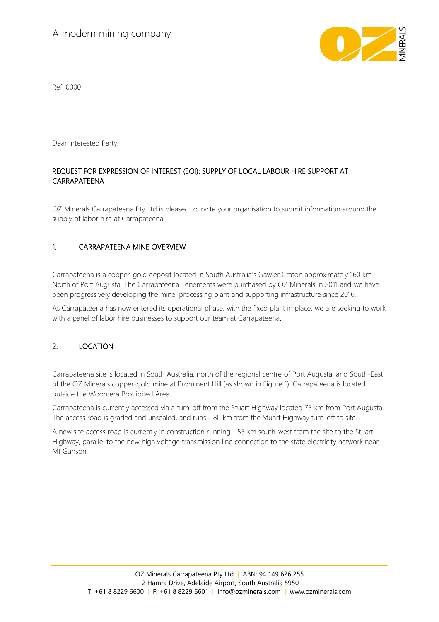

Ref: 0000

Dear Interested Party,

# REQUEST FOR EXPRESSION OF INTEREST (EOI): SUPPLY OF LOCAL LABOUR HIRE SUPPORT AT CARRAPATEENA

OZ Minerals Carrapateena Pty Ltd is pleased to invite your organisation to submit information around the supply of labor hire at Carrapateena.

# 1. CARRAPATEENA MINE OVERVIEW

Carrapateena is a copper-gold deposit located in South Australia's Gawler Craton approximately 160 km North of Port Augusta. The Carrapateena Tenements were purchased by OZ Minerals in 2011 and we have been progressively developing the mine, processing plant and supporting infrastructure since 2016.

As Carrapateena has now entered its operational phase, with the fixed plant in place, we are seeking to work with a panel of labor hire businesses to support our team at Carrapateena.

# 2. LOCATION

Carrapateena site is located in South Australia, north of the regional centre of Port Augusta, and South-East of the OZ Minerals copper-gold mine at Prominent Hill (as shown in Figure 1). Carrapateena is located outside the Woomera Prohibited Area.

Carrapateena is currently accessed via a turn-off from the Stuart Highway located 75 km from Port Augusta. The access road is graded and unsealed, and runs ~80 km from the Stuart Highway turn-off to site.

A new site access road is currently in construction running ~55 km south-west from the site to the Stuart Highway, parallel to the new high voltage transmission line connection to the state electricity network near Mt Gunson.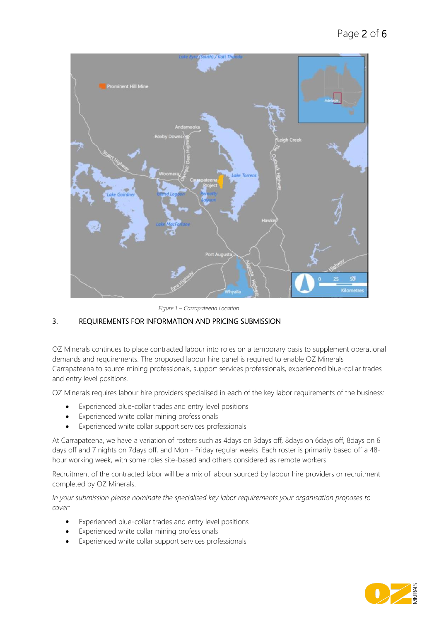

*Figure 1 – Carrapateena Location*

# 3. REQUIREMENTS FOR INFORMATION AND PRICING SUBMISSION

OZ Minerals continues to place contracted labour into roles on a temporary basis to supplement operational demands and requirements. The proposed labour hire panel is required to enable OZ Minerals Carrapateena to source mining professionals, support services professionals, experienced blue-collar trades and entry level positions.

OZ Minerals requires labour hire providers specialised in each of the key labor requirements of the business:

- Experienced blue-collar trades and entry level positions
- Experienced white collar mining professionals
- Experienced white collar support services professionals

At Carrapateena, we have a variation of rosters such as 4days on 3days off, 8days on 6days off, 8days on 6 days off and 7 nights on 7days off, and Mon - Friday regular weeks. Each roster is primarily based off a 48 hour working week, with some roles site-based and others considered as remote workers.

Recruitment of the contracted labor will be a mix of labour sourced by labour hire providers or recruitment completed by OZ Minerals.

*In your submission please nominate the specialised key labor requirements your organisation proposes to cover:*

- Experienced blue-collar trades and entry level positions
- Experienced white collar mining professionals
- Experienced white collar support services professionals

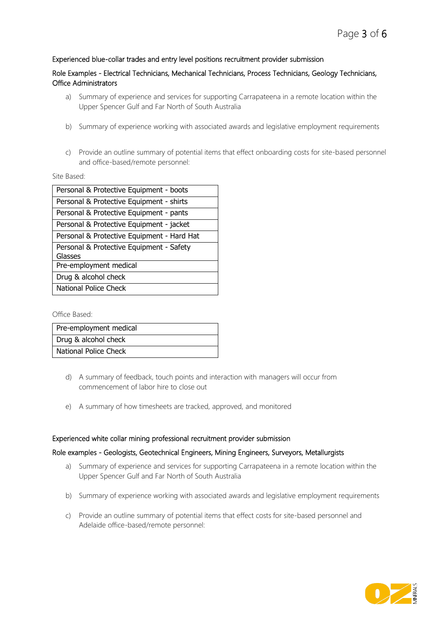### Experienced blue-collar trades and entry level positions recruitment provider submission

### Role Examples - Electrical Technicians, Mechanical Technicians, Process Technicians, Geology Technicians, Office Administrators

- a) Summary of experience and services for supporting Carrapateena in a remote location within the Upper Spencer Gulf and Far North of South Australia
- b) Summary of experience working with associated awards and legislative employment requirements
- c) Provide an outline summary of potential items that effect onboarding costs for site-based personnel and office-based/remote personnel:

#### Site Based:

| Personal & Protective Equipment - boots    |
|--------------------------------------------|
| Personal & Protective Equipment - shirts   |
| Personal & Protective Equipment - pants    |
| Personal & Protective Equipment - jacket   |
| Personal & Protective Equipment - Hard Hat |
| Personal & Protective Equipment - Safety   |
| Glasses                                    |
| Pre-employment medical                     |
| Drug & alcohol check                       |
| <b>National Police Check</b>               |

Office Based:

| Pre-employment medical |
|------------------------|
| Drug & alcohol check   |
| National Police Check  |

- d) A summary of feedback, touch points and interaction with managers will occur from commencement of labor hire to close out
- e) A summary of how timesheets are tracked, approved, and monitored

#### Experienced white collar mining professional recruitment provider submission

#### Role examples - Geologists, Geotechnical Engineers, Mining Engineers, Surveyors, Metallurgists

- a) Summary of experience and services for supporting Carrapateena in a remote location within the Upper Spencer Gulf and Far North of South Australia
- b) Summary of experience working with associated awards and legislative employment requirements
- c) Provide an outline summary of potential items that effect costs for site-based personnel and Adelaide office-based/remote personnel:

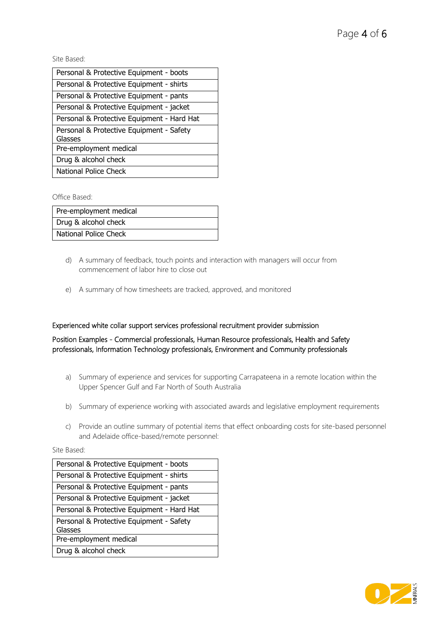Site Based:

Office Based:

| Pre-employment medical |
|------------------------|
| Drug & alcohol check   |
| National Police Check  |

- d) A summary of feedback, touch points and interaction with managers will occur from commencement of labor hire to close out
- e) A summary of how timesheets are tracked, approved, and monitored

#### Experienced white collar support services professional recruitment provider submission

Position Examples - Commercial professionals, Human Resource professionals, Health and Safety professionals, Information Technology professionals, Environment and Community professionals

- a) Summary of experience and services for supporting Carrapateena in a remote location within the Upper Spencer Gulf and Far North of South Australia
- b) Summary of experience working with associated awards and legislative employment requirements
- c) Provide an outline summary of potential items that effect onboarding costs for site-based personnel and Adelaide office-based/remote personnel:

Site Based:

| Personal & Protective Equipment - boots    |
|--------------------------------------------|
| Personal & Protective Equipment - shirts   |
| Personal & Protective Equipment - pants    |
| Personal & Protective Equipment - jacket   |
| Personal & Protective Equipment - Hard Hat |
| Personal & Protective Equipment - Safety   |
| Glasses                                    |
| Pre-employment medical                     |
| Drug & alcohol check                       |

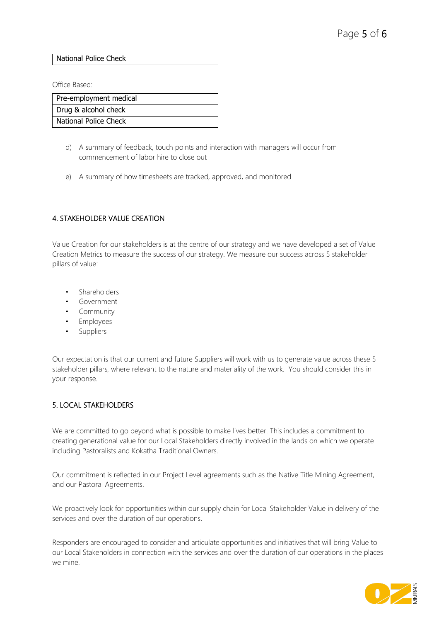### National Police Check

Office Based:

| Pre-employment medical |
|------------------------|
| Drug & alcohol check   |
| National Police Check  |

- d) A summary of feedback, touch points and interaction with managers will occur from commencement of labor hire to close out
- e) A summary of how timesheets are tracked, approved, and monitored

# 4. STAKEHOLDER VALUE CREATION

Value Creation for our stakeholders is at the centre of our strategy and we have developed a set of Value Creation Metrics to measure the success of our strategy. We measure our success across 5 stakeholder pillars of value:

- **Shareholders**
- Government
- Community
- Employees
- **Suppliers**

Our expectation is that our current and future Suppliers will work with us to generate value across these 5 stakeholder pillars, where relevant to the nature and materiality of the work. You should consider this in your response.

### 5. LOCAL STAKEHOLDERS

We are committed to go beyond what is possible to make lives better. This includes a commitment to creating generational value for our Local Stakeholders directly involved in the lands on which we operate including Pastoralists and Kokatha Traditional Owners.

Our commitment is reflected in our Project Level agreements such as the Native Title Mining Agreement, and our Pastoral Agreements.

We proactively look for opportunities within our supply chain for Local Stakeholder Value in delivery of the services and over the duration of our operations.

Responders are encouraged to consider and articulate opportunities and initiatives that will bring Value to our Local Stakeholders in connection with the services and over the duration of our operations in the places we mine.